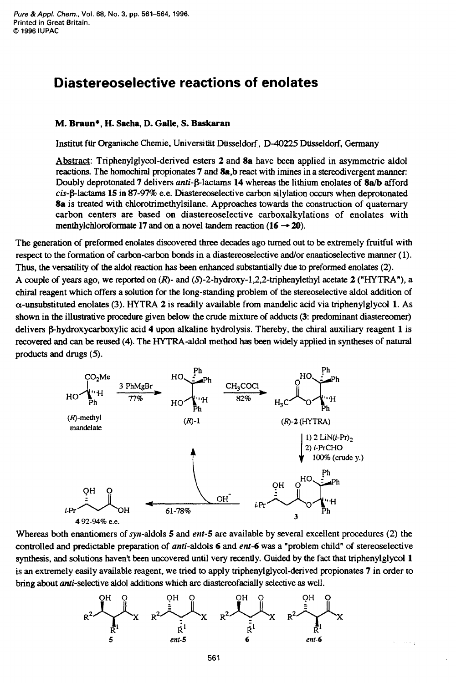## **Diastereoselective reactions of enolates**

## **M. Braun\*, H. Sacha, D. Galle,**

Institut für Organische Chemie, Universität Düsseldorf,

**S. Baskaran** *S***. <b>Baskaran**<br> **S. Baskaran**<br>
polycynomia<br> **S. Baskaran**<br>
ed esters 2 and 8a have been applied in asymmetric aldol Abstract: Triphenylglycol-derived esters **2** and **8a** have been applied in asymmetric aldol reactions. The homochiral propionates **7** and **8a,b** react with imines in a stereodivergent manner: Doubly deprotonated 7 delivers anti- $\beta$ -lactams 14 whereas the lithium enolates of 8a/b afford **Columber 15 and Stratems** *LACTADEM* **Columber 15** *C* **civility** Disseldorf, D-40225 Düsseldorf, Germany Abstract: Triphenylglycol-derived esters 2 and 8a have been applied in asymmetric aldol reactions. The homochiral **8a** is treated with chlorotrimethylsilane. Approaches towards the construction of quaternary carbon centers are based on diastereoselective carboxalkylations of enolates with menthylchloroformate 17 and on a novel tandem reaction  $(16 \rightarrow 20)$ . Doubly deprotonated 7 delivers anti- $\beta$ -lactams 14 whereas the lithium enolates of 8a/b afford *cis*- $\beta$ -lactams 15 in 87-97% e.e. Diastereoselective carbon silylation occurs when deprotonated 8a is treated with chlorot

respect to the formation of carbon-carbon bonds in a diastereoselective andor enanticselective manner (1). **Thus,** the versatility **of** the aldd reaction **has** been enhanced substantially due **to** preformed enolates (2). A couple **of** years ago, we reported on **(R)-** and **(S)-2-hydroxy-l,2,2-triphenylethyl** acetate **2 ("HYTRA"),** a chiral reagent which offers a solution for the long-standing problem of the stereoselective aldol addition of a-unsubstituted enolates (3). HYTRA **2** is readily available from mandelic acid via triphenylglycol **1. As**  shown in **the** illustrative procedure given below the crude mixture of adducts **(3:** predominant diastereomer) delivers  $\beta$ -hydroxycarboxylic acid 4 upon alkaline hydrolysis. Thereby, the chiral auxiliary reagent 1 is recovered and can be reused (A). The HYTRA-aldol method has been widely applied in syntheses of natural products and drugs (5). The HYTRA-aldol method has been widely applied in syntheses of natural products and drugs (5 products and drugs **(5).** 



Whereas both enantiomers of **syn-aldols 5** and ent-5 are available by several excellent procedures (2) the controlled and predictable preparation of anti-aldols 6 and ent-6 was a "problem child" of stereoselective synthesis, and solutions haven't been uncovered until very recently. Guided by the fact that triphenylglycol 1 **is** an extremely easily available reagent, we tried to apply triphenylglycol-derived propionates **7** in order to bring about anti-selective aldol addtions which are diastereofacially selective **as** well.

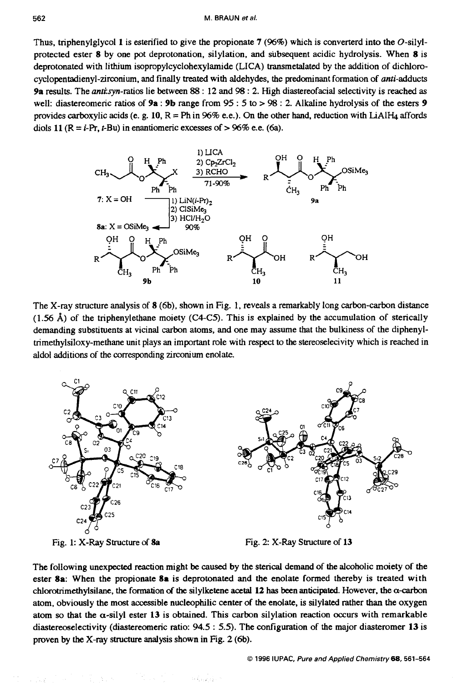Thus, triphenylglycol **1** is esterified to give the propionate **7**  (96%) which is converterd into the O-silyl-<br>subsequent acidic hydrolysis. When 8 is protected ester **8** by one pot deprotonation, silylation, and subsequent acidic hydrolysis. When **8** is M. BRAUN *et al.*<br>
Thus, triphenylglycol 1 is esterified to give the propionate 7 (96%) which is converterd into the O-silyl-<br>
protected ester 8 by one pot deprotonation, silylation, and subsequent acidic hydrolysis. When **cyclopentadienyl-zirconium.** and finally treated with aldehydes, the predominant formation of anti-adducts Thus, triphenylglycol 1 is esterified to give the propionate 7 (96%) which is converterd into the O-silyl-protected ester 8 by one pot deprotonation, silylation, and subsequent acidic hydrolysis. When 8 is deprotonated wi well: diastereomeric ratios of **9a** : **9b** range from 95 : **5** to > 98 : 2. Alkaline hydrolysis of the esters **<sup>9</sup>** diols 11  $(R = i-Pr, t-Bu)$  in enantiomeric excesses of  $> 96\%$  e.e. (6a). provides carboxylic acids (e. g.  $10$ ,  $R = Ph$  in  $96\%$  e.e.). On the subsequent acidic hydrolysis. When 8 is<br>ransmetalated by the addition of dichloro-<br>the predominant formation of *anti*-adducts<br>gh diastereofacial selectivity is reached as<br> $98:2$ . Alkaline hydrolysis of the esters 9<br>other



The X-ray structure analysis of **8** (6b), shown in Fig. **1,** reveals a remarkably long carbon-carbon distance (1.56 **A)** of the triphenylethane moiety (C4C5). **This** is explained by the accumulation of sterically demanding substituents at vicinal carbon atoms, and one may assume that the bulkiness of the diphenyltrimethylsiloxy-methane unit plays an important role with respect to the stereoselecivity which is reached in aldol additions of the **corresponding** zirconium enolate.



Fig. 1: **X-Ray** Structure of **8a** Fig. 2 X-Ray Structure of **13** 

The following unexpected reaction might **be** caused by the sterical demand of the alcoholic moiety of the ester **8a:** When the propionate **8a** is deprotonated and the enolate formed thereby is treated with chlorotrimethylsilane, the formation of the silylketene acetal 12 has been anticipated. However, the  $\alpha$ -carbon atom, obviously the most accessible nucleophilic center of the enolate, is silylated rather than the oxygen atom so that the  $\alpha$ -silyl ester 13 is obtained. This carbon silylation reaction occurs with remarkable diastereoselectivity (diastereomeric ratio: **94.5** : 5.5). The configuration of the major diasteromer **13** is proven by the X-ray structure analysis shown in Fig. 2 (6b).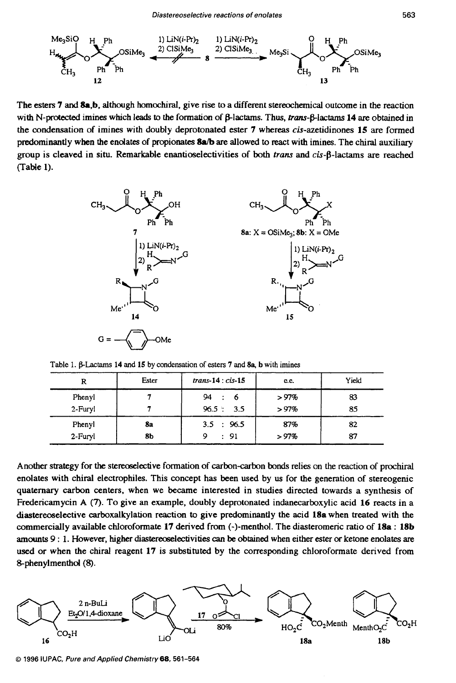

with N-protected imines which leads to the formation of β-lactams. Thus, trans-β-lactams 14 are obtained in the condensation of imines with doubly deprotonated ester **7** whereas cis-azetidinones **15** are formed predominantly when the endates of propionates **8a/b are** allowed to react with imines. The chid auxiliary group is cleaved in situ. Remarkable enantioselectivities of both *trans* and *cis-β-lactams* are reached (Table **1).** 



| Table 1. β-Lactams 14 and 15 by condensation of esters 7 and 8a, b with imines |
|--------------------------------------------------------------------------------|
|                                                                                |
|                                                                                |
| $6 \times 10^{-10}$                                                            |
|                                                                                |
|                                                                                |

Another strategy for **the** stereoselective formation of carbon-carbon bonds relies on the reaction of prochiral enolates with chiral electrophiles. This concept has been used by us for the generation of stereogenic quaternary carbon centers, when we became interested in studies directed towards a synthesis of Fredericamycin **A (7).** To give **an** example, doubly deprotonated indanecarboxylic acid **16** reacts in **a**  diastereoselective carboxalkylation reaction to give predominantly the acid **18a** when treated with the commercially available chloroformate **17** derived from (-)-menthol. The diasteromeric ratio **of 18a** : **18b amounts 9 : 1. However, higher diastereoselectivities can be obtained when either ester or ketone enolates are** used or when the chiral reagent **17** is substituted by the corresponding chloroformate derived from Sphenylmenthd **(8).** 



0 **1996 IUPAC, Pure and Applied Chemistry68,561-564**